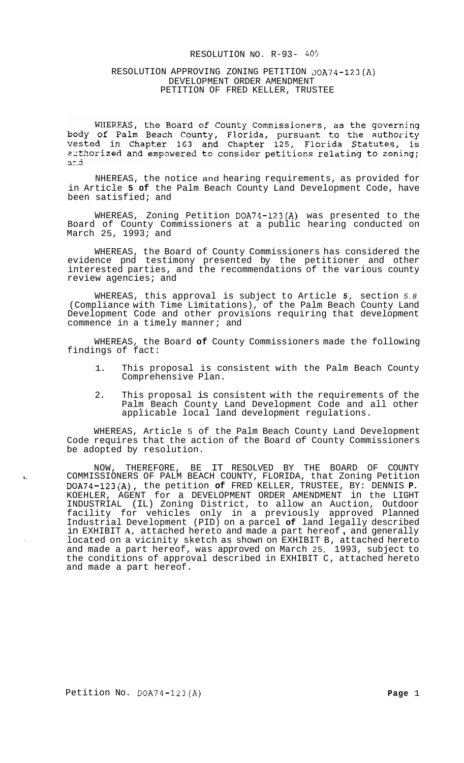#### RESOLUTION NO. R-93- *405*

### RESOLUTION APPROVING ZONING PETITION DOA74-123(A) DEVELOPMENT ORDER AMENDMENT PETITION OF FRED KELLER, TRUSTEE

WHEREAS, the Board of County Commissioners, as the governing body of Palm Beach County, Florida, pursuant to the authority<br>vested in Chapter 163 and Chapter 125, Florida Statutes, is authorized and empowered to consider petitions relating to zoning; and

NHEREAS, the notice and hearing requirements, as provided for in Article **5 of** the Palm Beach County Land Development Code, have been satisfied; and

WHEREAS, Zoning Petition DOA74-123(A) was presented to the Board of County Commissioners at a public hearing conducted on March 25, 1993; and

WHEREAS, the Board of County Commissioners has considered the evidence pnd testimony presented by the petitioner and other interested parties, and the recommendations of the various county review agencies; and

WHEREAS, this approval is subject to Article *5,* section *5.8*  (Compliance with Time Limitations), of the Palm Beach County Land Development Code and other provisions requiring that development commence in a timely manner; and

WHEREAS, the Board **of** County Commissioners made the following findings of fact:

- 1. This proposal is consistent with the Palm Beach County Comprehensive Plan.
- 2. This proposal is consistent with the requirements of the Palm Beach County Land Development Code and all other applicable local land development regulations.

WHEREAS, Article 5 of the Palm Beach County Land Development Code requires that the action of the Board of County Commissioners be adopted by resolution.

NOW, THEREFORE, BE IT RESOLVED BY THE BOARD OF COUNTY **L.** COMMISSIONERS OF PALM BEACH COUNTY, FLORIDA, that Zoning Petition DOA74-123(A), the petition **of** FRED KELLER, TRUSTEE, BY: DENNIS **P.**  KOEHLER, AGENT for a DEVELOPMENT ORDER AMENDMENT in the LIGHT INDUSTRIAL (IL) Zoning District, to allow an Auction, Outdoor facility for vehicles only in a previously approved Planned Industrial Development (PID) on a parcel **of** land legally described in EXHIBIT **A,** attached hereto and made a part hereof , and generally located on a vicinity sketch as shown on EXHIBIT B, attached hereto and made a part hereof, was approved on March 25, 1993, subject to the conditions of approval described in EXHIBIT C, attached hereto and made a part hereof.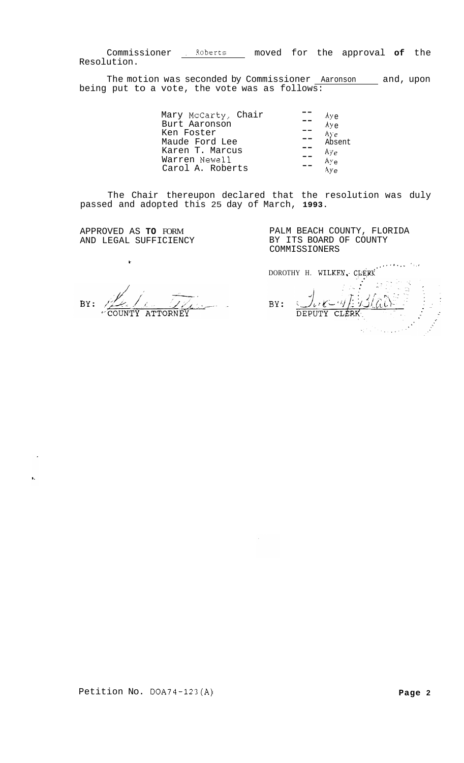Commissioner . Roberts moved for the approval **of** the Resolution.

The motion was seconded by Commissioner **Aaronson** and, upon being put to a vote, the vote was as follows:

| Mary McCarty, Chair | Aye                           |
|---------------------|-------------------------------|
| Burt Aaronson       | Aye                           |
| Ken Foster          | $\mathop{\rm Avg}\nolimits_e$ |
| Maude Ford Lee      | Absent                        |
| Karen T. Marcus     | Aye                           |
| Warren Newell       | Aye                           |
| Carol A. Roberts    | A۷۵                           |

The Chair thereupon declared that the resolution was duly passed and adopted this 25 day of March, **1993.** 

APPROVED AS **TO** FORM AND LEGAL SUFFICIENCY

**t** 

s,

PALM BEACH COUNTY, FLORIDA BY ITS BOARD OF COUNTY COMMISSIONERS

BY: لدا المستعمل **ATTORNEY** 

*.,..I..* ", '. **I**  DOROTHY H. WILKEN, CLERK  $\mathbb{C}$  $\frac{1}{\text{DEFUTV}}$  CLERK BY:

Petition No. DOA74-123(A) **Page 2**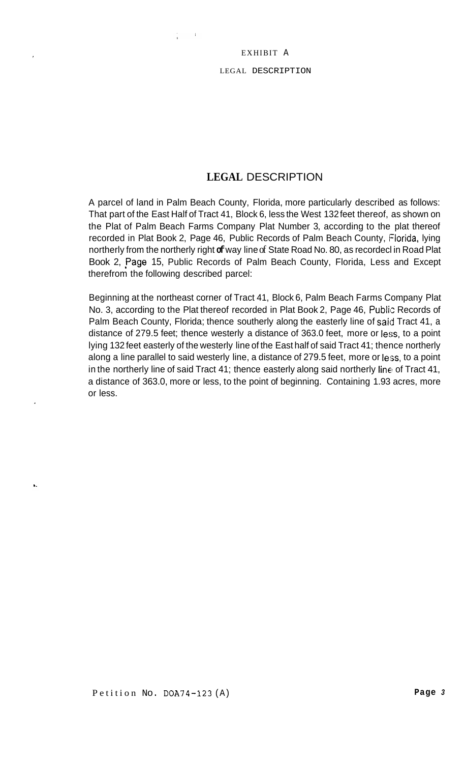## EXHIBIT A

## LEGAL DESCRIPTION

# **LEGAL** DESCRIPTION

A parcel of land in Palm Beach County, Florida, more particularly described as follows: That part of the East Half of Tract 41, Block 6, less the West 132 feet thereof, as shown on the Plat of Palm Beach Farms Company Plat Number 3, according to the plat thereof recorded in Plat Book 2, Page 46, Public Records of Palm Beach County, Florida, lying northerly from the northerly right **of** way line of State Road No. 80, as recordecl in Road Plat Book 2, Page 15, Public Records of Palm Beach County, Florida, Less and Except therefrom the following described parcel:

Beginning at the northeast corner of Tract 41, Block 6, Palm Beach Farms Company Plat No. 3, according to the Plat thereof recorded in Plat Book 2, Page 46, Public Records of Palm Beach County, Florida; thence southerly along the easterly line of said Tract 41, a distance of 279.5 feet; thence westerly a distance of 363.0 feet, more or less, to a point lying 132 feet easterly of the westerly line of the East half of said Tract 41; thence northerly along a line parallel to said westerly line, a distance of 279.5 feet, more or less, to a point in the northerly line of said Tract 41; thence easterly along said northerly line of Tract 41, a distance of 363.0, more or less, to the point of beginning. Containing 1.93 acres, more or less.

 $\mathbf{L}$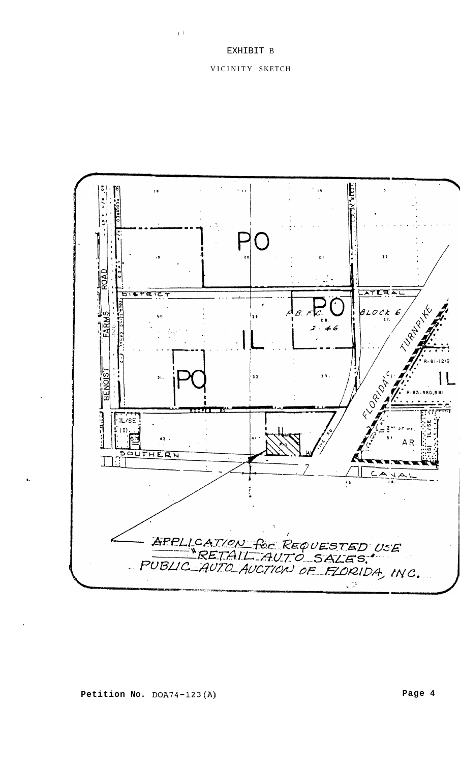$\pm$   $\pm$ 

## VICINITY SKETCH

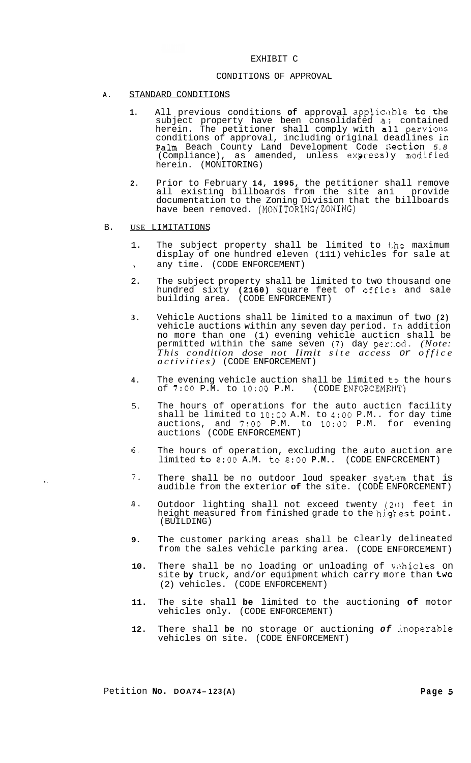## EXHIBIT C

#### CONDITIONS OF APPROVAL

- **A.** STANDARD CONDITIONS
	- 1. All previous conditions **of** approval applicable to the subject property have been consolidated a; contained herein. The petitioner shall comply with all pervious conditions of approval, including original deadlines in Palm Beach County Land Development Code :;eCtiOn *5.8*  (Compliance), as amended, unless  $e$ xpressly modified herein. (MONITORING)
	- **2.** Prior to February **14, 1995,** the petitioner shall remove all existing billboards from the site ani provide documentation to the Zoning Division that the billboards have been removed. (MONITORING/ZONING)
- B. USE LIMITATIONS

 $\bullet$  .

- 1. The subject property shall be limited to the maximum display of one hundred eleven (111) vehicles for sale at **<sup>b</sup>**any time. (CODE ENFORCEMENT)
- 2. The subject property shall be limited to two thousand one hundred sixty **(2160)** square feet of officjz and sale building area. (CODE ENFORCEMENT)
- **3.** Vehicle Auctions shall be limited to a maximun of two **(2)**  vehicle auctions within any seven day period. In addition no more than one (1) evening vehicle aucticn shall be permitted within the same seven (7) day per:.od. *(Note: This condition dose not limit site access or office activities)* (CODE ENFORCEMENT)
- **4.** The evening vehicle auction shall be limited to the hours of 7:00 P.M. to 10:00 P.M. (CODE ENFORCEMENT) of 7:00 P.M. to 10:00 P.M.
- 5. The hours of operations for the auto aucticn facility shall be limited to **1O:OO** A.M. to 4:OO P.M.. for day time auctions, and *7:OO* P.M. to **1O:OO** P.M. for evening auctions (CODE ENFORCEMENT)
- *6.* The hours of operation, excluding the auto auction are limited to **8:OO** A.M. to **8:OO P.M..** (CODE ENFCRCEMENT)
- 7. There shall be no outdoor loud speaker system that is audible from the exterior **of** the site. (CODE ENFORCEMENT)
- *8.* Outdoor lighting shall not exceed twenty (20) feet in height measured from finished grade to the highest point. (BUILDING)
- **9.** The customer parking areas shall be clearly delineated from the sales vehicle parking area. (CODE ENFORCEMENT)
- 10. There shall be no loading or unloading of vehicles on site **by** truck, and/or equipment which carry more than two (2) vehicles. (CODE ENFORCEMENT)
- **11.** The site shall **be** limited to the auctioning **of** motor vehicles only. (CODE ENFORCEMENT)
- **12.** There shall **be** no storage or auctioning *of* .inoperable vehicles on site. (CODE ENFORCEMENT)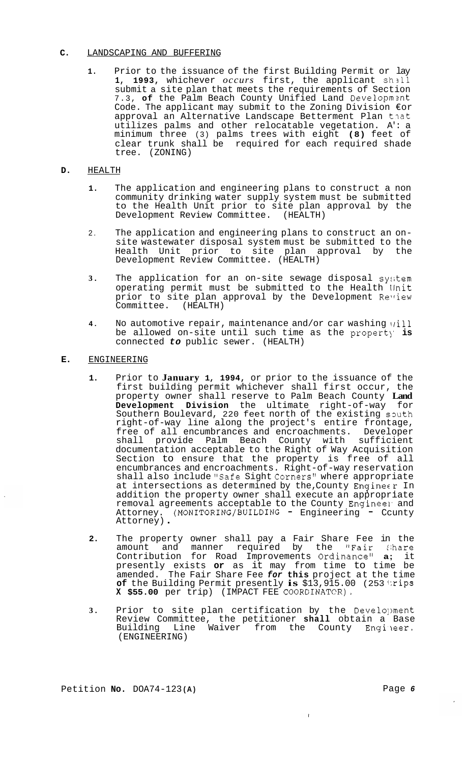### **C.** LANDSCAPING AND BUFFERING

**1.** Prior to the issuance of the first Building Permit or lay 1, 1993, whichever *occurs* first, the applicant shall submit a site plan that meets the requirements of Section 7.3, **of** the Palm Beach County Unified Land Developmznt Code. The applicant may submit to the Zoning Division €or approval an Alternative Landscape Betterment Plan that utilizes palms and other relocatable vegetation. A': a minimum three (3) palms trees with eight **(8)** feet of clear trunk shall be required for each required shade tree. (ZONING)

### **D.** HEALTH

- **1.**  The application and engineering plans to construct a non community drinking water supply system must be submitted to the Health Unit prior to site plan approval by the Development Review Committee. (HEALTH)
- 2. The application and engineering plans to construct an on- site wastewater disposal system must be submitted to the Health Unit prior to site plan approval by the Development Review Committee. (HEALTH)
- **3.**  The application for an on-site sewage disposal system operating permit must be submitted to the Health llnit prior to site plan approval by the Development Review Committee. (HEALTH)
- **4.**  No automotive repair, maintenance and/or car washing \rill be allowed on-site until such time as the propert)' **is**  connected *to* public sewer. (HEALTH)

## **E.** ENGINEERING

- **1.** Prior to **January 1, 1994,** or prior to the issuance of the first building permit whichever shall first occur, the property owner shall reserve to Palm Beach County **Land Development Division** the ultimate right-of-way for Southern Boulevard, 220 feet north of the existing south right-of-way line along the project's entire frontage, free of all encumbrances and encroachments. Developer shall provide Palm Beach County with sufficient documentation acceptable to the Right of Way Acquisition Section to ensure that the property is free of all encumbrances and encroachments. Right-of-way reservation shall also include "Safe Sight Corners" where appropriate at intersections as determined by the, County Enqinecr In addition the property owner shall execute an appropriate removal agreements acceptable to the County Engineel and<br>Attorney. (MONITORING/BUILDING - Engineering - Ccunty Attorney. (<br>Attorney)
- **2.** The property owner shall pay a Fair Share Fee in the amount and manner required by the "Fair :hare Contribution for Road Improvements Ordinance1! **a;** it presently exists **or** as it may from time to time be amended. The Fair Share Fee *for* **this** project at the time **of** the Building Permit presently **is** \$13,915.00 (253 **1:rips X \$55.00** per trip) (IMPACT FEE **COORDINATCR),**
- **3.** Prior to site plan certification by the Development Review Committee, the petitioner **shall** obtain a Base Building Line Waiver from the County Engineer. (ENGINEERING)

 $\mathbf{r}$